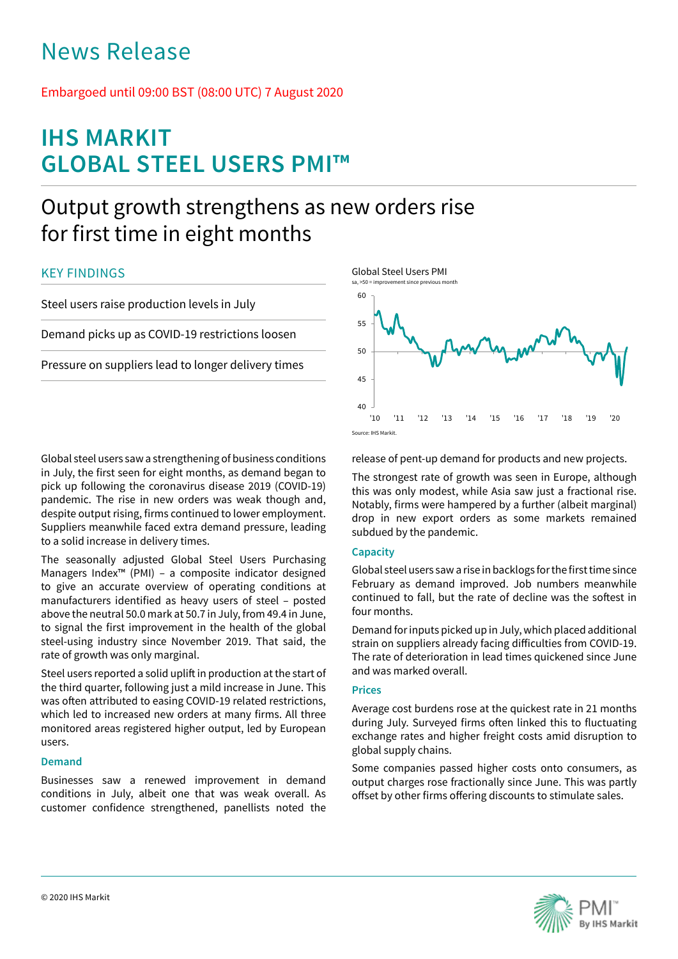# News Release

## Embargoed until 09:00 BST (08:00 UTC) 7 August 2020

## **IHS MARKIT GLOBAL STEEL USERS PMI™**

## Output growth strengthens as new orders rise for first time in eight months

### KEY FINDINGS

Steel users raise production levels in July

Demand picks up as COVID-19 restrictions loosen

Pressure on suppliers lead to longer delivery times

Global steel users saw a strengthening of business conditions in July, the first seen for eight months, as demand began to pick up following the coronavirus disease 2019 (COVID-19) pandemic. The rise in new orders was weak though and, despite output rising, firms continued to lower employment. Suppliers meanwhile faced extra demand pressure, leading to a solid increase in delivery times.

The seasonally adjusted Global Steel Users Purchasing Managers Index™ (PMI) – a composite indicator designed to give an accurate overview of operating conditions at manufacturers identified as heavy users of steel – posted above the neutral 50.0 mark at 50.7 in July, from 49.4 in June, to signal the first improvement in the health of the global steel-using industry since November 2019. That said, the rate of growth was only marginal.

Steel users reported a solid uplift in production at the start of the third quarter, following just a mild increase in June. This was often attributed to easing COVID-19 related restrictions, which led to increased new orders at many firms. All three monitored areas registered higher output, led by European users.

### **Demand**

Businesses saw a renewed improvement in demand conditions in July, albeit one that was weak overall. As customer confidence strengthened, panellists noted the



release of pent-up demand for products and new projects.

The strongest rate of growth was seen in Europe, although this was only modest, while Asia saw just a fractional rise. Notably, firms were hampered by a further (albeit marginal) drop in new export orders as some markets remained subdued by the pandemic.

#### **Capacity**

Global steel users saw a rise in backlogs for the first time since February as demand improved. Job numbers meanwhile continued to fall, but the rate of decline was the softest in four months.

Demand for inputs picked up in July, which placed additional strain on suppliers already facing difficulties from COVID-19. The rate of deterioration in lead times quickened since June and was marked overall.

#### **Prices**

Average cost burdens rose at the quickest rate in 21 months during July. Surveyed firms often linked this to fluctuating exchange rates and higher freight costs amid disruption to global supply chains.

Some companies passed higher costs onto consumers, as output charges rose fractionally since June. This was partly offset by other firms offering discounts to stimulate sales.